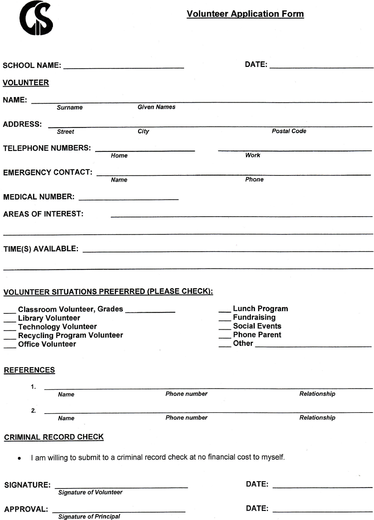Volunteer Application Form

|                                                                                                                |                               |             |                    | DATE: the contract of the contract of the contract of the contract of the contract of the contract of the contract of the contract of the contract of the contract of the contract of the contract of the contract of the cont |              |  |
|----------------------------------------------------------------------------------------------------------------|-------------------------------|-------------|--------------------|--------------------------------------------------------------------------------------------------------------------------------------------------------------------------------------------------------------------------------|--------------|--|
| <b>VOLUNTEER</b>                                                                                               |                               |             |                    |                                                                                                                                                                                                                                |              |  |
| NAME: 2008 2012 2022 2023 2024 2022 2023 2024 2022 2023 2024 2022 2023 2024 2022 2023 2024 2025 2026 2027 2028 |                               |             |                    |                                                                                                                                                                                                                                |              |  |
|                                                                                                                | Surname                       |             | <b>Given Names</b> |                                                                                                                                                                                                                                |              |  |
|                                                                                                                |                               |             |                    |                                                                                                                                                                                                                                |              |  |
| <b>ADDRESS:</b>                                                                                                | <b>Street</b>                 | City        |                    | <b>Postal Code</b>                                                                                                                                                                                                             |              |  |
|                                                                                                                |                               |             |                    |                                                                                                                                                                                                                                |              |  |
| TELEPHONE NUMBERS:                                                                                             |                               | Home        |                    | Work                                                                                                                                                                                                                           |              |  |
|                                                                                                                |                               |             |                    |                                                                                                                                                                                                                                |              |  |
| <b>EMERGENCY CONTACT:</b>                                                                                      |                               |             |                    |                                                                                                                                                                                                                                |              |  |
|                                                                                                                |                               | <b>Name</b> |                    | Phone                                                                                                                                                                                                                          |              |  |
|                                                                                                                |                               |             |                    |                                                                                                                                                                                                                                |              |  |
|                                                                                                                |                               |             |                    |                                                                                                                                                                                                                                |              |  |
| <b>AREAS OF INTEREST:</b>                                                                                      |                               |             |                    |                                                                                                                                                                                                                                |              |  |
|                                                                                                                |                               |             |                    |                                                                                                                                                                                                                                |              |  |
|                                                                                                                |                               |             |                    |                                                                                                                                                                                                                                |              |  |
|                                                                                                                |                               |             |                    |                                                                                                                                                                                                                                |              |  |
|                                                                                                                |                               |             |                    |                                                                                                                                                                                                                                |              |  |
|                                                                                                                |                               |             |                    |                                                                                                                                                                                                                                |              |  |
|                                                                                                                |                               |             |                    |                                                                                                                                                                                                                                |              |  |
| <b>VOLUNTEER SITUATIONS PREFERRED (PLEASE CHECK):</b>                                                          |                               |             |                    |                                                                                                                                                                                                                                |              |  |
| __ Lunch Program<br>Classroom Volunteer, Grades                                                                |                               |             |                    |                                                                                                                                                                                                                                |              |  |
| <b>Fundraising</b><br><b>Library Volunteer</b>                                                                 |                               |             |                    |                                                                                                                                                                                                                                |              |  |
| <b>Technology Volunteer</b>                                                                                    |                               |             |                    | <b>Social Events</b>                                                                                                                                                                                                           |              |  |
| <b>Recycling Program Volunteer</b><br><b>Phone Parent</b><br>Other _______________<br><b>Office Volunteer</b>  |                               |             |                    |                                                                                                                                                                                                                                |              |  |
|                                                                                                                |                               |             |                    |                                                                                                                                                                                                                                |              |  |
|                                                                                                                |                               |             |                    |                                                                                                                                                                                                                                |              |  |
| <b>REFERENCES</b>                                                                                              |                               |             |                    |                                                                                                                                                                                                                                |              |  |
| 1.                                                                                                             |                               |             |                    |                                                                                                                                                                                                                                |              |  |
|                                                                                                                | <b>Name</b>                   |             | Phone number       |                                                                                                                                                                                                                                | Relationship |  |
| 2.                                                                                                             |                               |             |                    |                                                                                                                                                                                                                                |              |  |
|                                                                                                                | <b>Name</b>                   |             | Phone number       |                                                                                                                                                                                                                                | Relationship |  |
|                                                                                                                |                               |             |                    |                                                                                                                                                                                                                                |              |  |
| <b>CRIMINAL RECORD CHECK</b>                                                                                   |                               |             |                    |                                                                                                                                                                                                                                |              |  |
|                                                                                                                |                               |             |                    |                                                                                                                                                                                                                                |              |  |
| I am willing to submit to a criminal record check at no financial cost to myself.                              |                               |             |                    |                                                                                                                                                                                                                                |              |  |
|                                                                                                                |                               |             |                    |                                                                                                                                                                                                                                |              |  |
| <b>SIGNATURE:</b>                                                                                              |                               |             |                    | DATE: the contract of the contract of the contract of the contract of the contract of the contract of the contract of the contract of the contract of the contract of the contract of the contract of the contract of the cont |              |  |
|                                                                                                                | <b>Signature of Volunteer</b> |             |                    |                                                                                                                                                                                                                                |              |  |
| <b>APPROVAL:</b>                                                                                               |                               |             |                    |                                                                                                                                                                                                                                |              |  |
|                                                                                                                | Signature of Principal        |             |                    |                                                                                                                                                                                                                                |              |  |